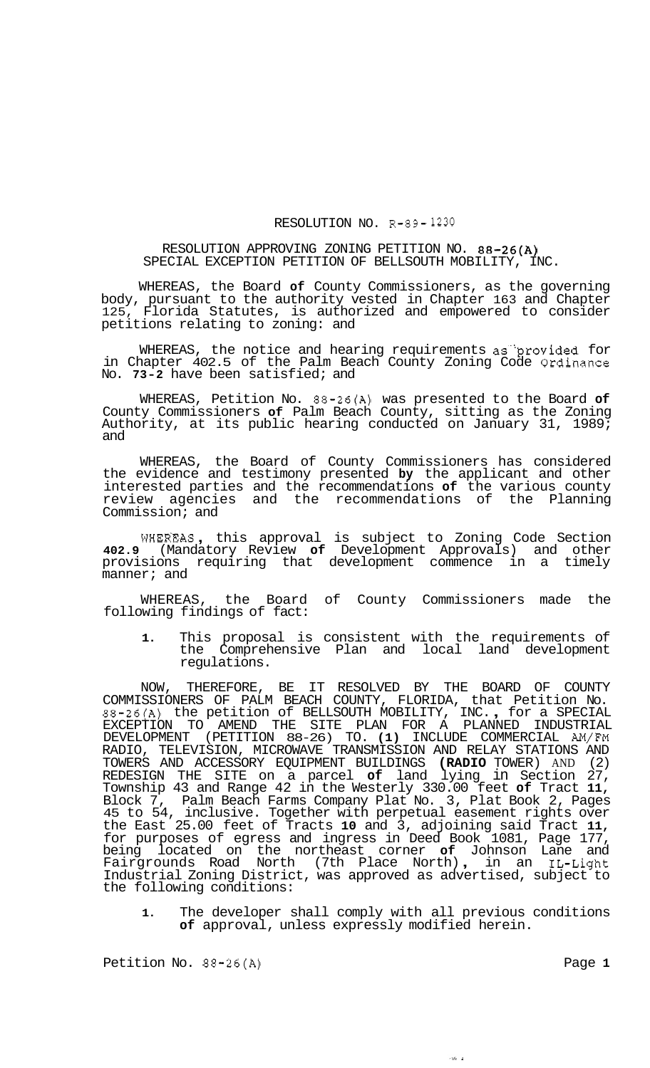## RESOLUTION NO. R-89- **1230**

## RESOLUTION APPROVING ZONING PETITION NO. 88-26(A) SPECIAL EXCEPTION PETITION OF BELLSOUTH MOBILITY, INC.

WHEREAS, the Board **of** County Commissioners, as the governing body, pursuant to the authority vested in Chapter 163 and Chapter 125, Florida Statutes, is authorized and empowered to consider petitions relating to zoning: and

WHEREAS, the notice and hearing requirements as provided for in Chapter 402.5 of the Palm Beach County Zoning Code Ordinance No. **73-2** have been satisfied; and

WHEREAS, Petition No. 88-26(A) was presented to the Board **of**  County Commissioners **of** Palm Beach County, sitting as the Zoning Authority, at its public hearing conducted on January 31, 1989; and

WHEREAS, the Board of County Commissioners has considered the evidence and testimony presented **by** the applicant and other interested parties and the recommendations **of** the various county review agencies and the recommendations of the Planning Commission; and

WHERFAS , this approval is subject to Zoning Code Section **402.9** (Mandatory Review **of** Development Approvals) and other provisions requiring that development commence in a timely manner; and

WHEREAS, the Board of County Commissioners made the following findings of fact:

**1.** This proposal is consistent with the requirements of the Comprehensive Plan and local land development regulations.

NOW, THEREFORE, BE IT RESOLVED BY THE BOARD OF COUNTY COMMISSIONERS OF PALM BEACH COUNTY, FLORIDA, that Petition No. 88-26(A) the petition of BELLSOUTH MOBILITY, INC. , for a SPECIAL EXCEPTION TO AMEND THE SITE PLAN FOR A PLANNED INDUSTRIAL DEVELOPMENT (PETITION 88-26) TO. **(1)** INCLUDE COMMERCIAL **AM/FM**  RADIO, TELEVISION, MICROWAVE TRANSMISSION AND RELAY STATIONS AND TOWERS AND ACCESSORY EQUIPMENT BUILDINGS **(RADIO** TOWER) AND (2) REDESIGN THE SITE on a parcel **of** land lying in Section 27, Township 43 and Range 42 in the Westerly 330.00 feet **of** Tract **11,**  Block 7, Palm Beach Farms Company Plat No. 3, Plat Book 2, Pages 45 to 54, inclusive. Together with perpetual easement rights over the East 25.00 feet of Tracts **10** and 3, adjoining said Tract **11,**  for purposes of egress and ingress in Deed Book 1081, Page 177, being located on the northeast corner **of** Johnson Lane and Fairgrounds Road North (7th Place North) , in an IL-Light Industrial Zoning District, was approved as advertised, subject to the following conditions:

**1.** The developer shall comply with all previous conditions **of** approval, unless expressly modified herein.

ر<br>ماندا

Petition No.  $88-26(A)$  Page 1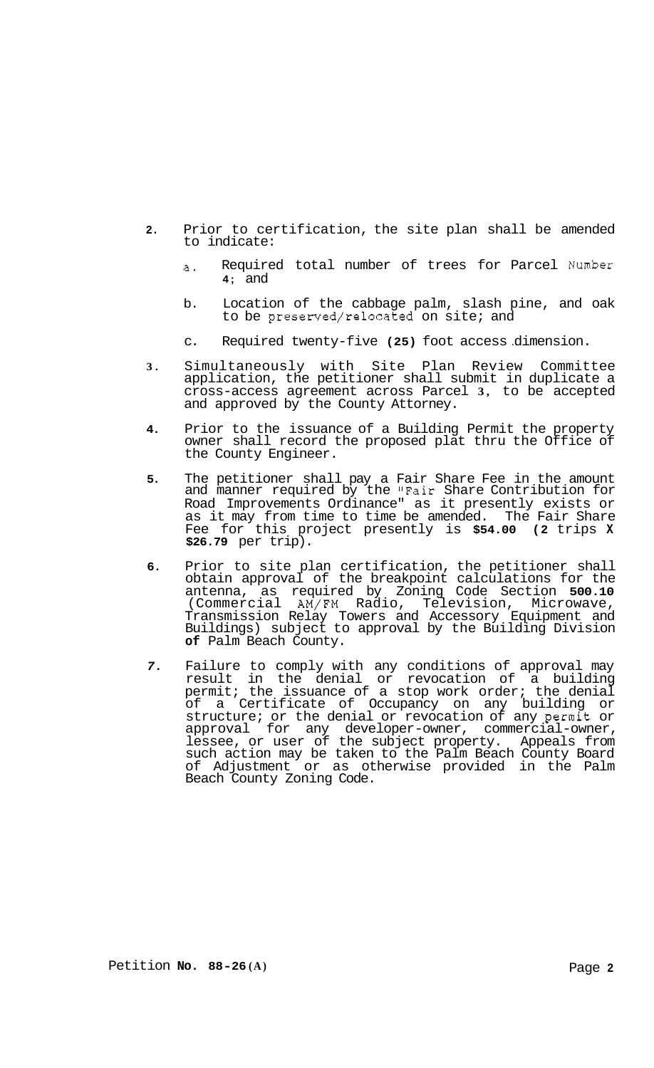- **2.** Prior to certification, the site plan shall be amended to indicate:
	- a. Required total number of trees for Parcel Number **4;** and
	- b. Location of the cabbage palm, slash pine, and oak to be preserved/relocated on site; and
	- c. Required twenty-five (25) foot access dimension.
- **3.** Simultaneously with Site Plan Review Committee application, the petitioner shall submit in duplicate a cross-access agreement across Parcel **3,** to be accepted and approved by the County Attorney.
- **4.** Prior to the issuance of a Building Permit the property owner shall record the proposed plat thru the Office of the County Engineer.
- **5.** The petitioner shall pay a Fair Share Fee in the amount and manner required by the "Fair Share Contribution for Road Improvements Ordinance" as it presently exists or as it may from time to time be amended. The Fair Share Fee for this project presently is **\$54.00 (2** trips **X \$26.79** per trip).
- **6.** Prior to site plan certification, the petitioner shall obtain approval of the breakpoint calculations for the antenna, as required by Zoning Code Section **500.10**  (Commercial AM/FM Radio, Television, Microwave, Transmission Relay Towers and Accessory Equipment and Buildings) subject to approval by the Building Division **of** Palm Beach County.
- *7.* Failure to comply with any conditions of approval may result in the denial or revocation of a building permit; the issuance of a stop work order; the denial of a Certificate of Occupancy on any building or structure; or the denial or revocation of any permit or approval for any developer-owner, commercial-owner, lessee, or user of the subject property. Appeals from such action may be taken to the Palm Beach County Board of Adjustment or as otherwise provided in the Palm Beach County Zoning Code.